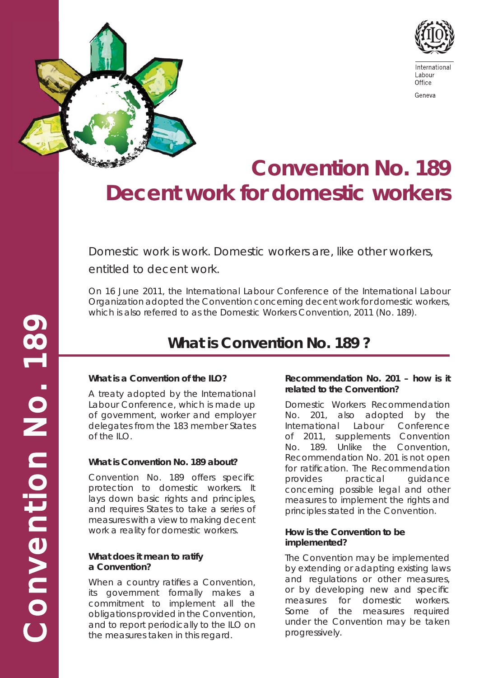

# **Convention No. 189 Decent work for domestic workers**

Domestic work is work. Domestic workers are, like other workers, entitled to decent work.

On 16 June 2011, the International Labour Conference of the International Labour Organization adopted the Convention concerning decent work for domestic workers, which is also referred to as the Domestic Workers Convention, 2011 (No. 189).

### **What is Convention No. 189 ?**

#### **What is a Convention of the ILO?**

A treaty adopted by the International Labour Conference, which is made up of government, worker and employer delegates from the 183 member States of the ILO.

#### **What is Convention No. 189 about?**

Convention No. 189 offers specific protection to domestic workers. It lays down basic rights and principles, and requires States to take a series of measures with a view to making decent work a reality for domestic workers.

#### **What does it mean to ratify a Convention?**

When a country ratifies a Convention, its government formally makes a commitment to implement all the obligations provided in the Convention, and to report periodically to the ILO on the measures taken in this regard.

#### **Recommendation No. 201 – how is it related to the Convention?**

Domestic Workers Recommendation No. 201, also adopted by the International Labour Conference of 2011, supplements Convention No. 189. Unlike the Convention, Recommendation No. 201 is not open for ratification. The Recommendation provides practical guidance concerning possible legal and other measures to implement the rights and principles stated in the Convention.

#### **How is the Convention to be implemented?**

The Convention may be implemented by extending or adapting existing laws and regulations or other measures, or by developing new and specific measures for domestic workers. Some of the measures required under the Convention may be taken progressively.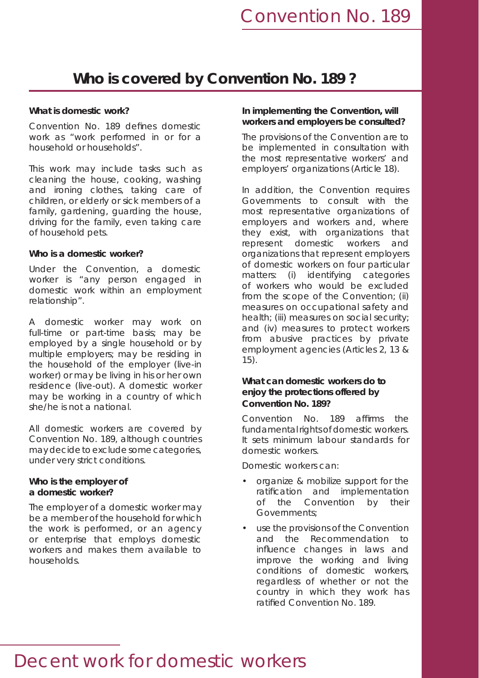### **Who is covered by Convention No. 189 ?**

#### **What is domestic work?**

Convention No. 189 defines domestic work as "work performed in or for a household or households".

This work may include tasks such as cleaning the house, cooking, washing and ironing clothes, taking care of children, or elderly or sick members of a family, gardening, guarding the house, driving for the family, even taking care of household pets.

#### **Who is a domestic worker?**

Under the Convention, a domestic worker is "any person engaged in domestic work within an employment relationship".

A domestic worker may work on full-time or part-time basis; may be employed by a single household or by multiple employers; may be residing in the household of the employer (live-in worker) or may be living in his or her own residence (live-out). A domestic worker may be working in a country of which she/he is not a national.

All domestic workers are covered by Convention No. 189, although countries may decide to exclude some categories, under very strict conditions.

#### **Who is the employer of a domestic worker?**

The employer of a domestic worker may be a member of the household for which the work is performed, or an agency or enterprise that employs domestic workers and makes them available to households.

#### **In implementing the Convention, will workers and employers be consulted?**

The provisions of the Convention are to be implemented in consultation with the most representative workers' and employers' organizations (Article 18).

In addition, the Convention requires Governments to consult with the most representative organizations of employers and workers and, where they exist, with organizations that represent domestic workers and organizations that represent employers of domestic workers on four particular matters: (i) identifying categories of workers who would be excluded from the scope of the Convention; (ii) measures on occupational safety and health; (iii) measures on social security; and (iv) measures to protect workers from abusive practices by private employment agencies (Articles 2, 13 & 15).

#### **What can domestic workers do to enjoy the protections offered by Convention No. 189?**

Convention No. 189 affirms the fundamental rights of domestic workers. It sets minimum labour standards for domestic workers.

Domestic workers can:

- organize & mobilize support for the ratification and implementation of the Convention by their Governments;
- use the provisions of the Convention and the Recommendation to influence changes in laws and improve the working and living conditions of domestic workers, regardless of whether or not the country in which they work has ratified Convention No. 189.

## *Decent work for domestic workers*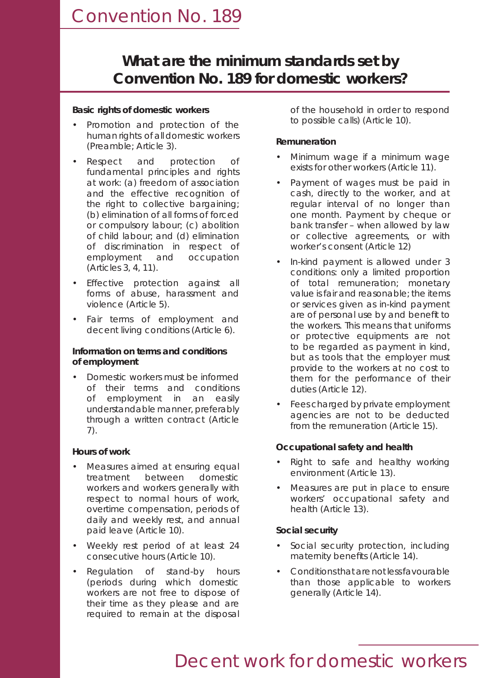### *Convention No. 189*

### **What are the minimum standards set by Convention No. 189 for domestic workers?**

#### **Basic rights of domestic workers**

- Promotion and protection of the human rights of all domestic workers (Preamble; Article 3).
- Respect and protection of fundamental principles and rights at work: (a) freedom of association and the effective recognition of the right to collective bargaining; (b) elimination of all forms of forced or compulsory labour; (c) abolition of child labour; and (d) elimination of discrimination in respect of employment and occupation (Articles 3, 4, 11).
- Effective protection against all forms of abuse, harassment and violence (Article 5).
- Fair terms of employment and decent living conditions (Article 6).

#### **Information on terms and conditions of employment**

• Domestic workers must be informed of their terms and conditions of employment in an easily understandable manner, preferably through a written contract (Article 7).

#### **Hours of work**

- Measures aimed at ensuring equal treatment between domestic workers and workers generally with respect to normal hours of work, overtime compensation, periods of daily and weekly rest, and annual paid leave (Article 10).
- Weekly rest period of at least 24 consecutive hours (Article 10).
- Regulation of stand-by hours (periods during which domestic workers are not free to dispose of their time as they please and are required to remain at the disposal

of the household in order to respond to possible calls) (Article 10).

#### **Remuneration**

- Minimum wage if a minimum wage exists for other workers (Article 11).
- Payment of wages must be paid in cash, directly to the worker, and at regular interval of no longer than one month. Payment by cheque or bank transfer – when allowed by law or collective agreements, or with worker's consent (Article 12)
- In-kind payment is allowed under 3 conditions: only a limited proportion of total remuneration; monetary value is fair and reasonable; the items or services given as in-kind payment are of personal use by and benefit to the workers. This means that uniforms or protective equipments are not to be regarded as payment in kind, but as tools that the employer must provide to the workers at no cost to them for the performance of their duties (Article 12).
- Fees charged by private employment agencies are not to be deducted from the remuneration (Article 15).

#### **Occupational safety and health**

- Right to safe and healthy working environment (Article 13).
- Measures are put in place to ensure workers' occupational safety and health (Article 13).

#### **Social security**

- Social security protection, including maternity benefits (Article 14).
- Conditions that are not less favourable than those applicable to workers generally (Article 14).

## *Decent work for domestic workers*